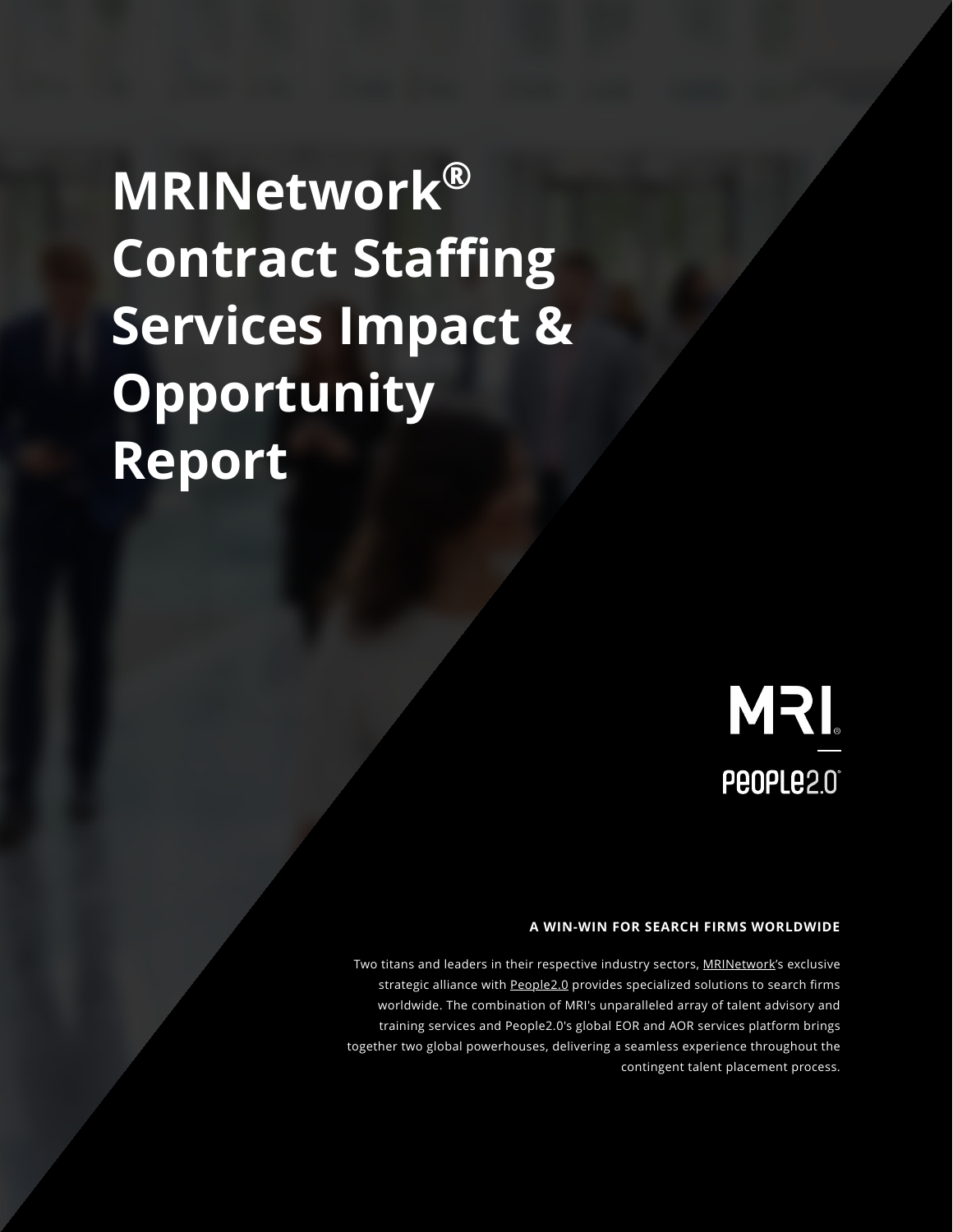Two titans and leaders in their respective industry sectors, [MRINetwork's](https://mrinetwork.com/) exclusive strategic alliance with [People2.0](https://www.people20.com/) provides specialized solutions to search firms worldwide. The combination of MRI's unparalleled array of talent advisory and

training services and People2.0's global EOR and AOR services platform brings together two global powerhouses, delivering a seamless experience throughout the contingent talent placement process.

#### **A WIN-WIN FOR SEARCH FIRMS WORLDWIDE**

# **MRINetwork®**

**Contract Staffing Services Impact &** 

**Opportunity Report**



MRI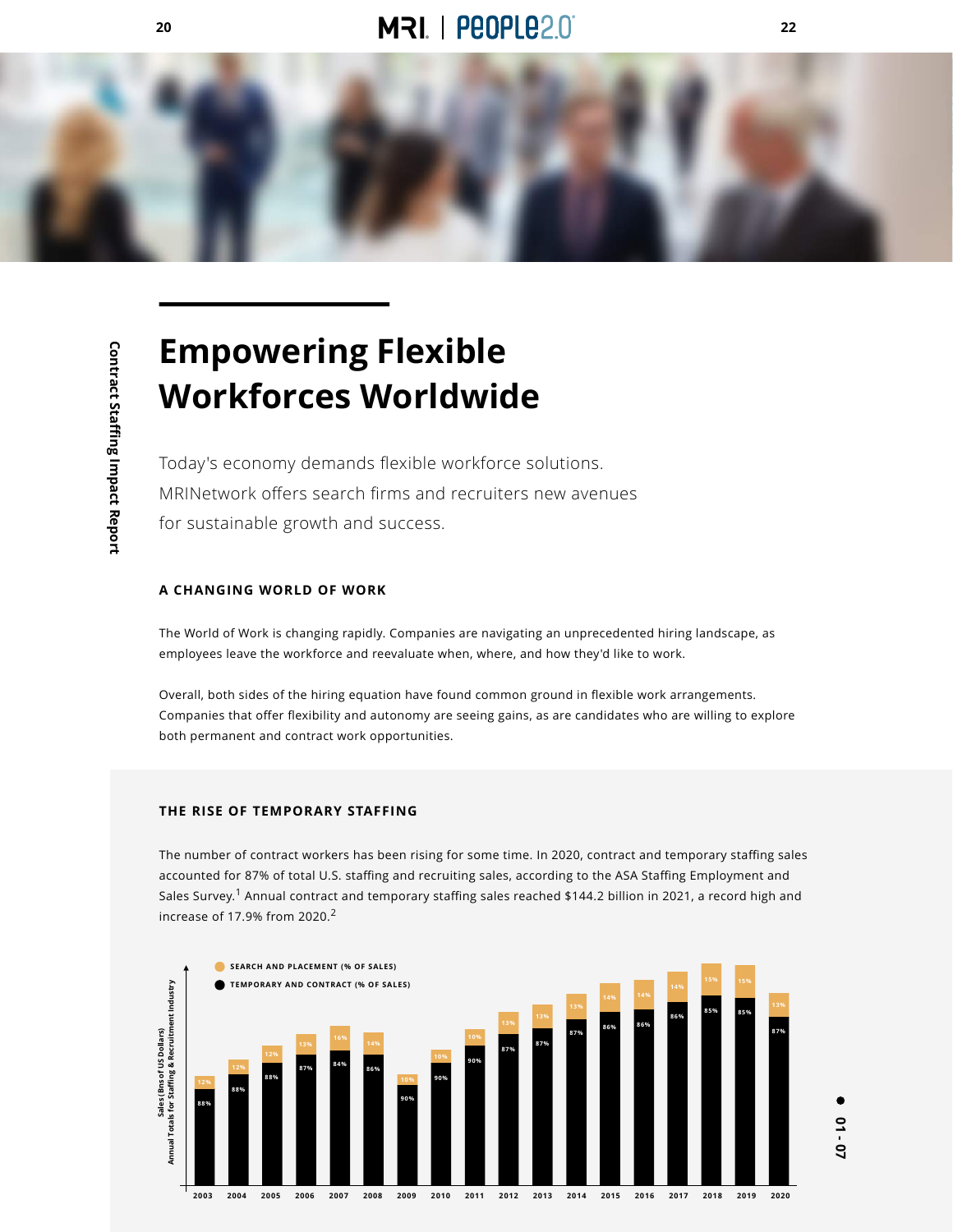**01 - 07**

# **Empowering Flexible Workforces Worldwide**

#### **A CHANGING WORLD OF WORK**

The World of Work is changing rapidly. Companies are navigating an unprecedented hiring landscape, as employees leave the workforce and reevaluate when, where, and how they'd like to work.

Overall, both sides of the hiring equation have found common ground in flexible work arrangements. Companies that offer flexibility and autonomy are seeing gains, as are candidates who are willing to explore both permanent and contract work opportunities.

#### **THE RISE OF TEMPORARY STAFFING**

**ffing & Recruitment Industry Sales (Bns of US Dollars)<br>tals for Staffing & Recruitm Sales (Bns of US Dollars) Annual Totals for Sta**  $\mathbf{C}$ Annual

dustry

The number of contract workers has been rising for some time. In 2020, contract and temporary staffing sales accounted for 87% of total U.S. staffing and recruiting sales, according to the ASA Staffing Employment and Sales Survey.<sup>1</sup> Annual contract and temporary staffing sales reached \$144.2 billion in 2021, a record high and increase of 17.9% from 2020.<sup>2</sup>









Today's economy demands flexible workforce solutions.

MRINetwork offers search firms and recruiters new avenues

for sustainable growth and success.







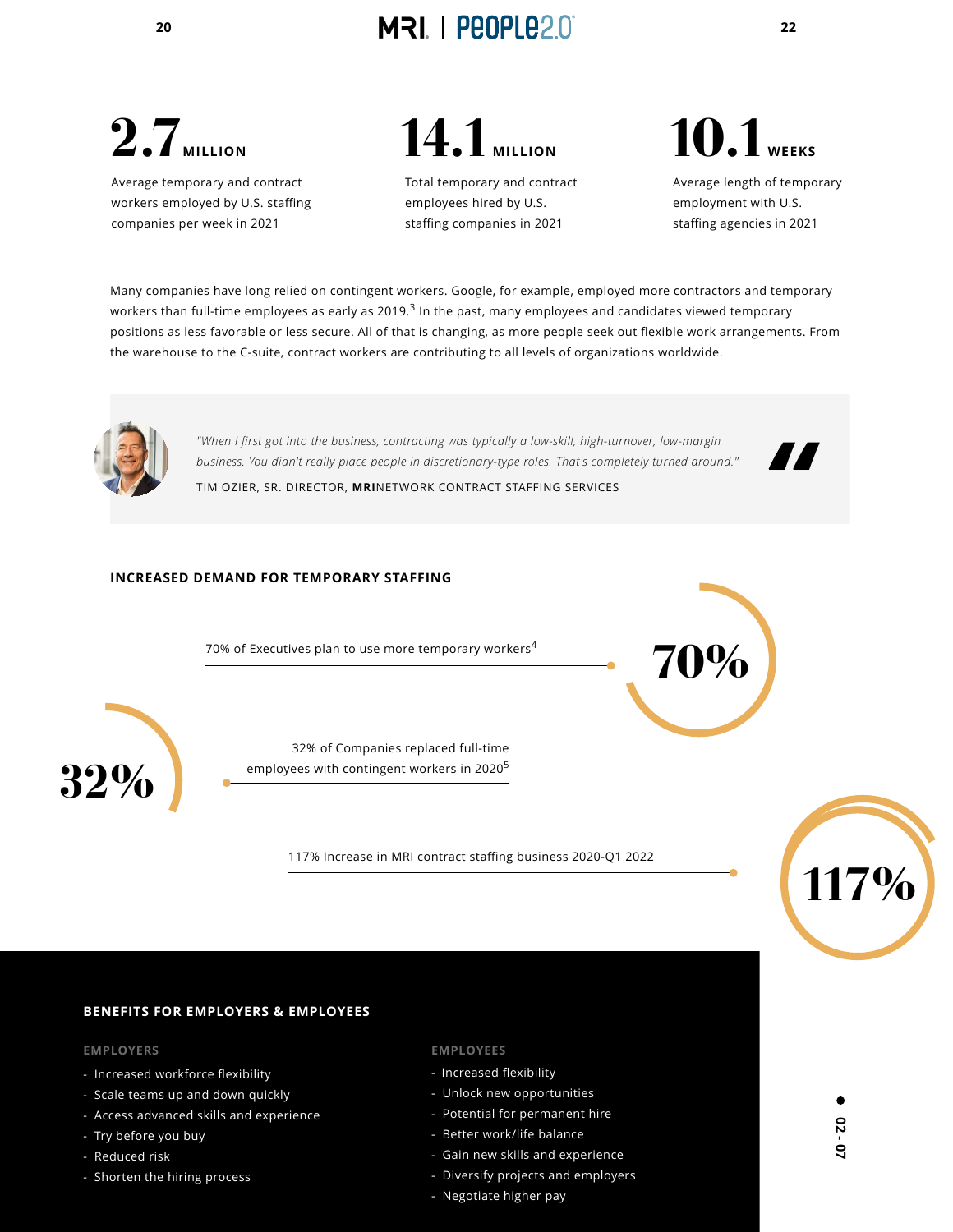

# **2.7**<br>MILLION

*"When I first got into the business, contracting was typically a low-skill, high-turnover, low-margin business. You didn't really place people in discretionary-type roles. That's completely turned around."*

32% of Companies replaced full-time employees with contingent workers in 2020<sup>5</sup>

TIM OZIER, SR. DIRECTOR, **MRI**NETWORK CONTRACT STAFFING SERVICES

*"*

#### **INCREASED DEMAND FOR TEMPORARY STAFFING**

70% of Executives plan to use more temporary workers<sup>4</sup> **100%** 





**32%**





Average temporary and contract workers employed by U.S. staffing companies per week in 2021

Total temporary and contract employees hired by U.S. staffing companies in 2021



Average length of temporary employment with U.S. staffing agencies in 2021

# **10.1WEEKS**

Many companies have long relied on contingent workers. Google, for example, employed more contractors and temporary workers than full-time employees as early as 2019.<sup>3</sup> In the past, many employees and candidates viewed temporary positions as less favorable or less secure. All of that is changing, as more people seek out flexible work arrangements. From the warehouse to the C-suite, contract workers are contributing to all levels of organizations worldwide.



#### **BENEFITS FOR EMPLOYERS & EMPLOYEES**

#### **EMPLOYERS EMPLOYEES**

- Increased workforce flexibility
- Scale teams up and down quickly
- Access advanced skills and experience
- Try before you buy
- Reduced risk
- Shorten the hiring process

- Increased flexibility
- Unlock new opportunities
- Potential for permanent hire
- Better work/life balance
- Gain new skills and experience
- Diversify projects and employers
- Negotiate higher pay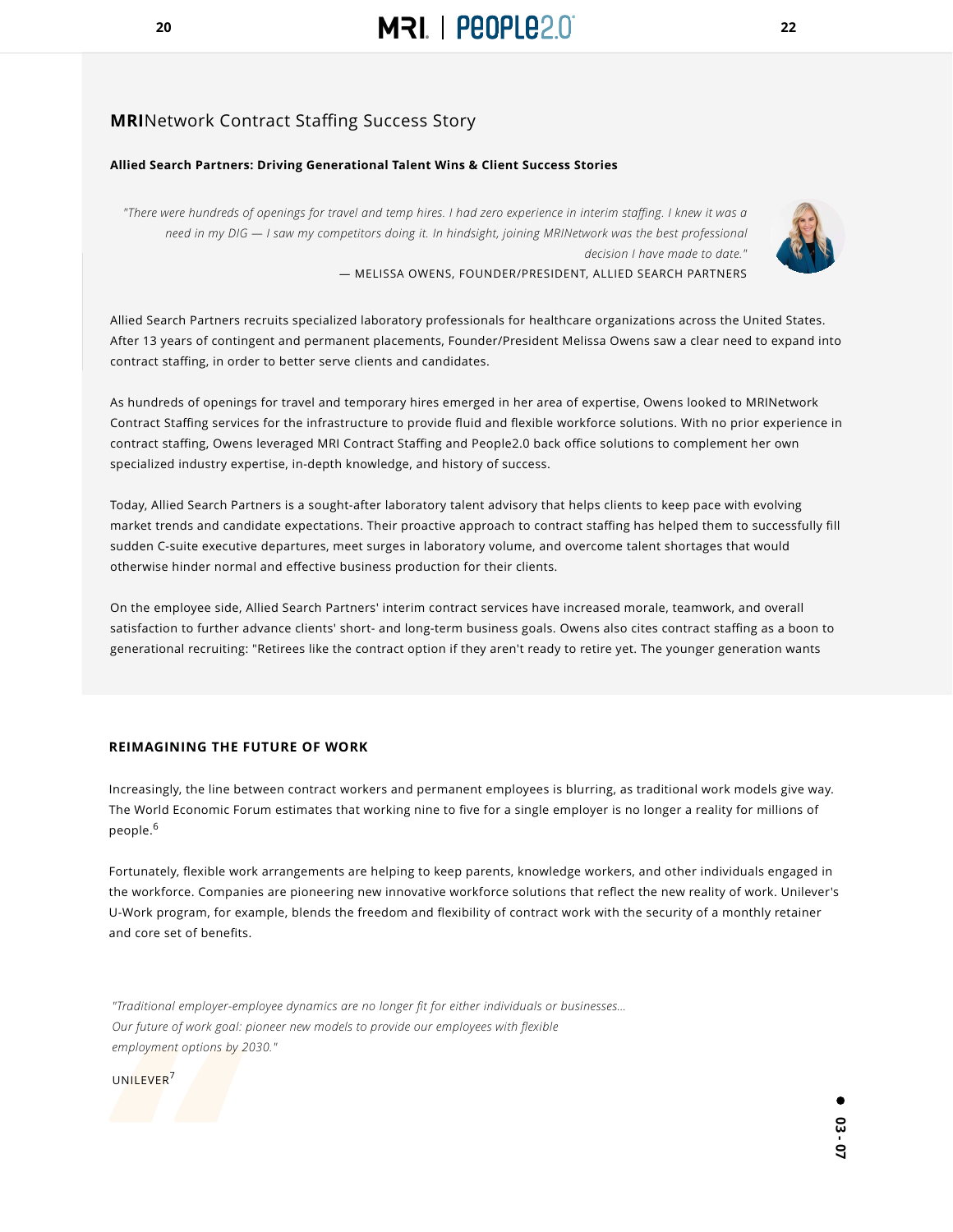





#### **Allied Search Partners: Driving Generational Talent Wins & Client Success Stories**

*"There were hundreds of openings for travel and temp hires. I had zero experience in interim staffing. I knew it was a need in my DIG — I saw my competitors doing it. In hindsight, joining MRINetwork was the best professional decision I have made to date."*

— MELISSA OWENS, FOUNDER/PRESIDENT, ALLIED SEARCH PARTNERS

### **MRI**Network Contract Staffing Success Story

Allied Search Partners recruits specialized laboratory professionals for healthcare organizations across the United States.



After 13 years of contingent and permanent placements, Founder/President Melissa Owens saw a clear need to expand into contract staffing, in order to better serve clients and candidates.

As hundreds of openings for travel and temporary hires emerged in her area of expertise, Owens looked to MRINetwork Contract Staffing services for the infrastructure to provide fluid and flexible workforce solutions. With no prior experience in contract staffing, Owens leveraged MRI Contract Staffing and People2.0 back office solutions to complement her own specialized industry expertise, in-depth knowledge, and history of success.

Increasingly, the line between contract workers and permanent employees is blurring, as traditional work models give way. The World Economic Forum estimates that working nine to five for a single employer is no longer a reality for millions of people.<sup>6</sup>

Today, Allied Search Partners is a sought-after laboratory talent advisory that helps clients to keep pace with evolving market trends and candidate expectations. Their proactive approach to contract staffing has helped them to successfully fill sudden C-suite executive departures, meet surges in laboratory volume, and overcome talent shortages that would otherwise hinder normal and effective business production for their clients.

On the employee side, Allied Search Partners' interim contract services have increased morale, teamwork, and overall satisfaction to further advance clients' short- and long-term business goals. Owens also cites contract staffing as a boon to generational recruiting: "Retirees like the contract option if they aren't ready to retire yet. The younger generation wants

#### **REIMAGINING THE FUTURE OF WORK**

Fortunately, flexible work arrangements are helping to keep parents, knowledge workers, and other individuals engaged in the workforce. Companies are pioneering new innovative workforce solutions that reflect the new reality of work. Unilever's U-Work program, for example, blends the freedom and flexibility of contract work with the security of a monthly retainer and core set of benefits.

*"Traditional employer-employee dynamics are no longer fit for either individuals or businesses…* 

*Our future of work goal: pioneer new models to provide our employees with flexible* 

*employment options by 2030."*

*Carry deal cof work g*<br>
employment options<br>
UNILEVER<sup>7</sup> UNILEVER<sup>7</sup>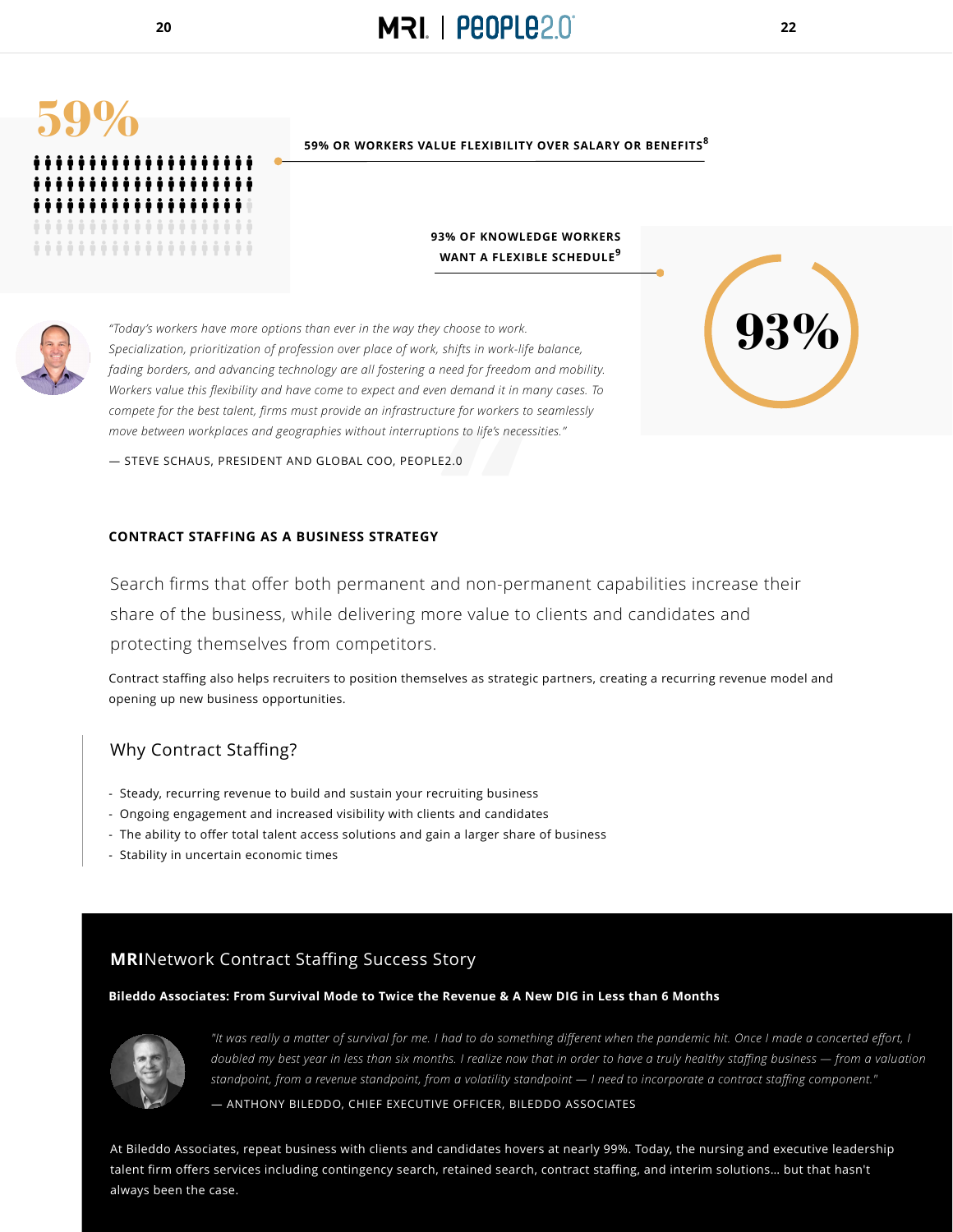- Steady, recurring revenue to build and sustain your recruiting business
- Ongoing engagement and increased visibility with clients and candidates
- The ability to offer total talent access solutions and gain a larger share of business
- Stability in uncertain economic times

**93% OF KNOWLEDGE WORKERS**  WANT A FLEXIBLE SCHEDULE<sup>9</sup>

*"It was really a matter of survival for me. I had to do something different when the pandemic hit. Once I made a concerted effort, I doubled my best year in less than six months. I realize now that in order to have a truly healthy staffing business — from a valuation standpoint, from a revenue standpoint, from a volatility standpoint — I need to incorporate a contract staffing component."*

— ANTHONY BILEDDO, CHIEF EXECUTIVE OFFICER, BILEDDO ASSOCIATES







**93%**



**59% OR WORKERS VALUE FLEXIBILITY OVER SALARY OR BENEFITS<sup>8</sup>**

*"Today's workers have more options than ever in the way they choose to work.* 

*The sto life's ne*<br> **192.0**<br> **192.0**<br> **192.0**<br> **192.0** Search firms that offer both permanent and non-permanent capabilities increase their share of the business, while delivering more value to clients and candidates and

*Specialization, prioritization of profession over place of work, shifts in work-life balance, fading borders, and advancing technology are all fostering a need for freedom and mobility. Workers value this flexibility and have come to expect and even demand it in many cases. To compete for the best talent, firms must provide an infrastructure for workers to seamlessly move between workplaces and geographies without interruptions to life's necessities."*

— STEVE SCHAUS, PRESIDENT AND GLOBAL COO, PEOPLE2.0



#### **CONTRACT STAFFING AS A BUSINESS STRATEGY**

Contract staffing also helps recruiters to position themselves as strategic partners, creating a recurring revenue model and opening up new business opportunities.

**Bileddo Associates: From Survival Mode to Twice the Revenue & A New DIG in Less than 6 Months**



protecting themselves from competitors.

### Why Contract Staffing?

**MRI**Network Contract Staffing Success Story

At Bileddo Associates, repeat business with clients and candidates hovers at nearly 99%. Today, the nursing and executive leadership talent firm offers services including contingency search, retained search, contract staffing, and interim solutions… but that hasn't always been the case.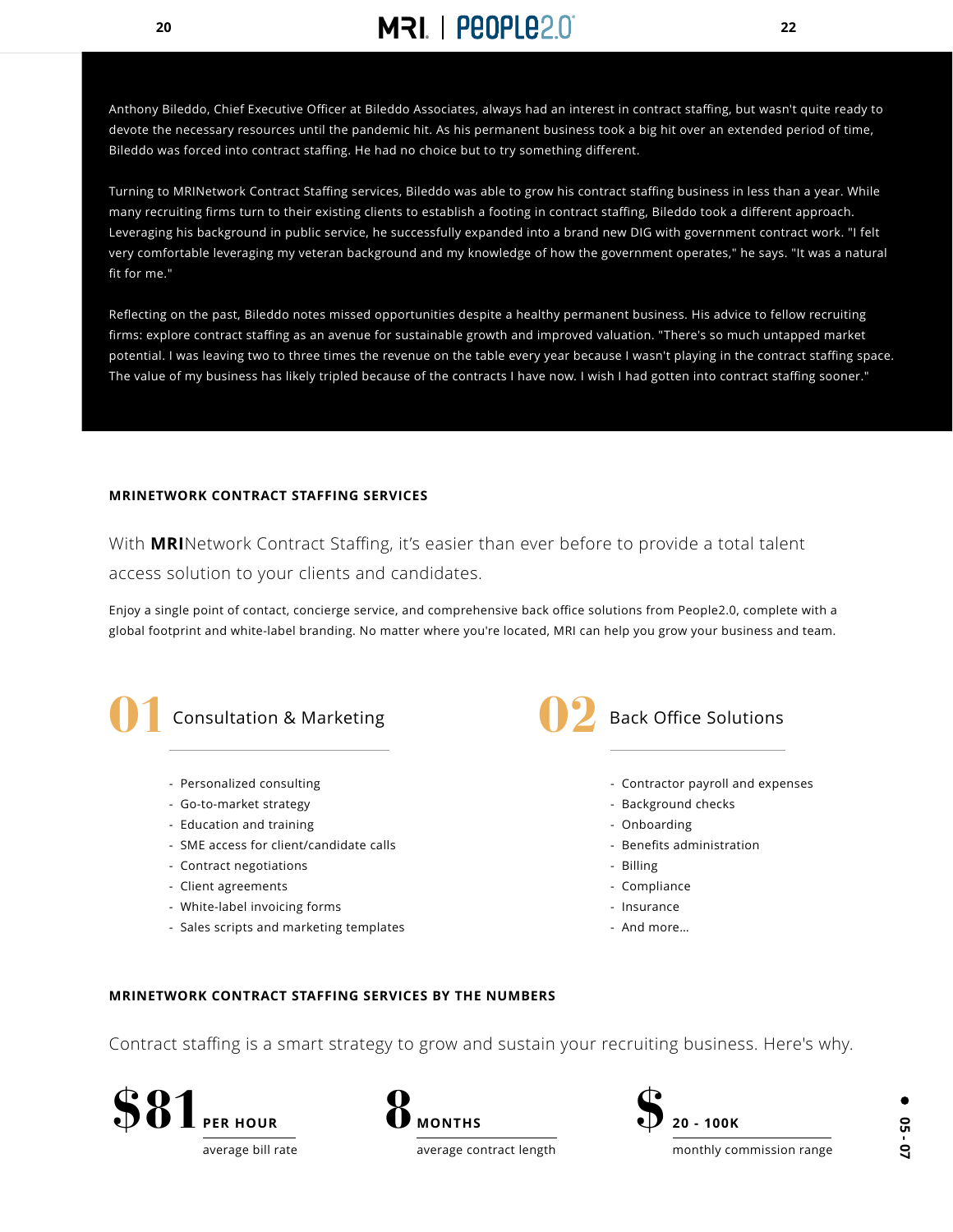## **20 22**

Anthony Bileddo, Chief Executive Officer at Bileddo Associates, always had an interest in contract staffing, but wasn't quite ready to devote the necessary resources until the pandemic hit. As his permanent business took a big hit over an extended period of time, Bileddo was forced into contract staffing. He had no choice but to try something different.

Turning to MRINetwork Contract Staffing services, Bileddo was able to grow his contract staffing business in less than a year. While many recruiting firms turn to their existing clients to establish a footing in contract staffing, Bileddo took a different approach. Leveraging his background in public service, he successfully expanded into a brand new DIG with government contract work. "I felt very comfortable leveraging my veteran background and my knowledge of how the government operates," he says. "It was a natural fit for me."

Reflecting on the past, Bileddo notes missed opportunities despite a healthy permanent business. His advice to fellow recruiting firms: explore contract staffing as an avenue for sustainable growth and improved valuation. "There's so much untapped market potential. I was leaving two to three times the revenue on the table every year because I wasn't playing in the contract staffing space. The value of my business has likely tripled because of the contracts I have now. I wish I had gotten into contract staffing sooner."

#### **MRINETWORK CONTRACT STAFFING SERVICES**

Enjoy a single point of contact, concierge service, and comprehensive back office solutions from People2.0, complete with a global footprint and white-label branding. No matter where you're located, MRI can help you grow your business and team.



- Personalized consulting
- Go-to-market strategy
- Education and training
- SME access for client/candidate calls
- Contract negotiations
- Client agreements
- White-label invoicing forms
- Sales scripts and marketing templates
- Contractor payroll and expenses
- Background checks
- Onboarding
- Benefits administration
- Billing
- Compliance
- Insurance
- And more…

With **MRI**Network Contract Staffing, it's easier than ever before to provide a total talent access solution to your clients and candidates.



#### **MRINETWORK CONTRACT STAFFING SERVICES BY THE NUMBERS**

#### Contract staffing is a smart strategy to grow and sustain your recruiting business. Here's why.

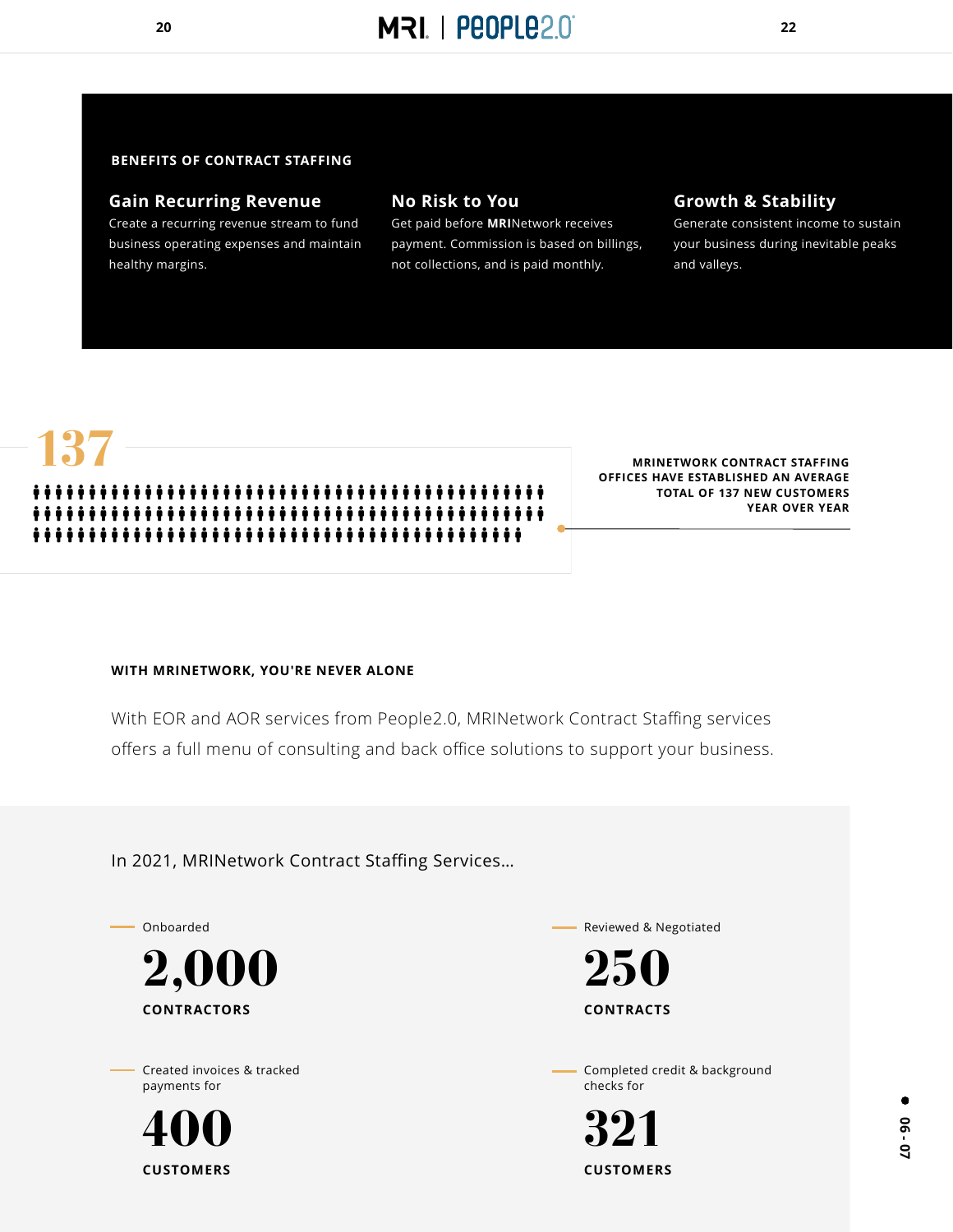



### **Gain Recurring Revenue**

Create a recurring revenue stream to fund business operating expenses and maintain healthy margins.

### **No Risk to You**

Get paid before **MRI**Network receives payment. Commission is based on billings, not collections, and is paid monthly.

### **Growth & Stability**

Generate consistent income to sustain your business during inevitable peaks and valleys.

#### **WITH MRINETWORK, YOU'RE NEVER ALONE**

With EOR and AOR services from People2.0, MRINetwork Contract Staffing services offers a full menu of consulting and back office solutions to support your business.

#### In 2021, MRINetwork Contract Staffing Services…

#### **BENEFITS OF CONTRACT STAFFING**



Onboarded

#### **CONTRACTORS**



Reviewed & Negotiated

#### **CONTRACTS**



#### Created invoices & tracked payments for

**CUSTOMERS**

# **400**

Completed credit & background checks for

**CUSTOMERS**